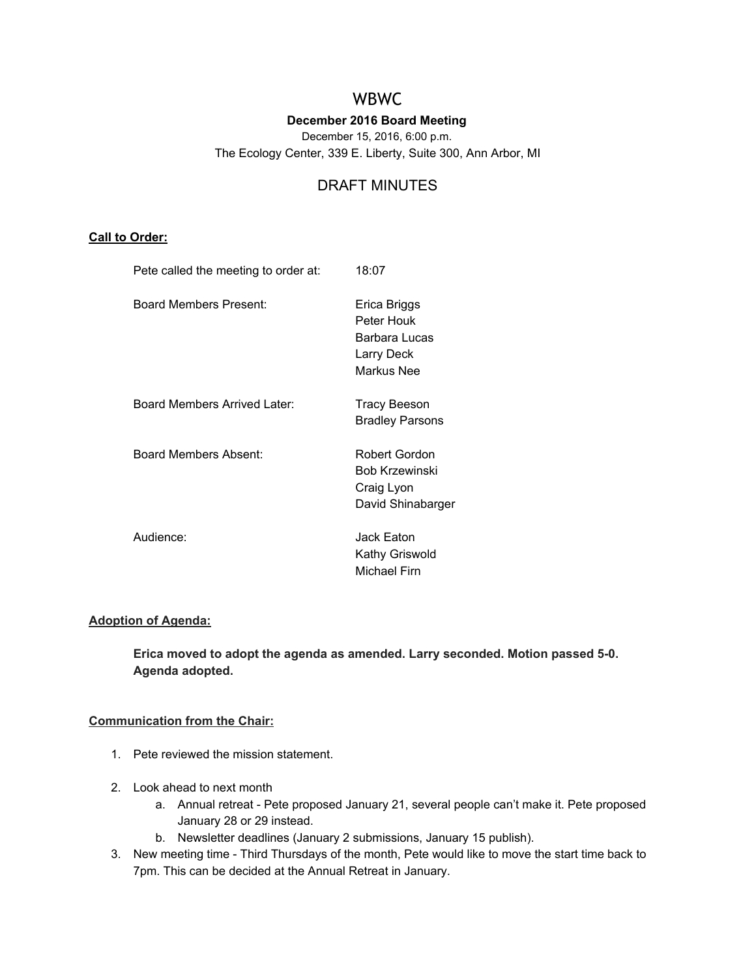# WBWC

# **December 2016 Board Meeting**

December 15, 2016, 6:00 p.m.

The Ecology Center, 339 E. Liberty, Suite 300, Ann Arbor, MI

# DRAFT MINUTES

# **Call to Order:**

| Pete called the meeting to order at: | 18:07                                                                     |
|--------------------------------------|---------------------------------------------------------------------------|
| Board Members Present:               | Erica Briggs<br>Peter Houk<br>Barbara Lucas<br>Larry Deck<br>Markus Nee   |
| Board Members Arrived Later:         | Tracy Beeson<br><b>Bradley Parsons</b>                                    |
| Board Members Absent:                | Robert Gordon<br><b>Bob Krzewinski</b><br>Craig Lyon<br>David Shinabarger |
| Audience:                            | Jack Eaton<br>Kathy Griswold<br>Michael Firn                              |

# **Adoption of Agenda:**

**Erica moved to adopt the agenda as amended. Larry seconded. Motion passed 5-0. Agenda adopted.**

## **Communication from the Chair:**

- 1. Pete reviewed the mission statement.
- 2. Look ahead to next month
	- a. Annual retreat Pete proposed January 21, several people can't make it. Pete proposed January 28 or 29 instead.
	- b. Newsletter deadlines (January 2 submissions, January 15 publish).
- 3. New meeting time Third Thursdays of the month, Pete would like to move the start time back to 7pm. This can be decided at the Annual Retreat in January.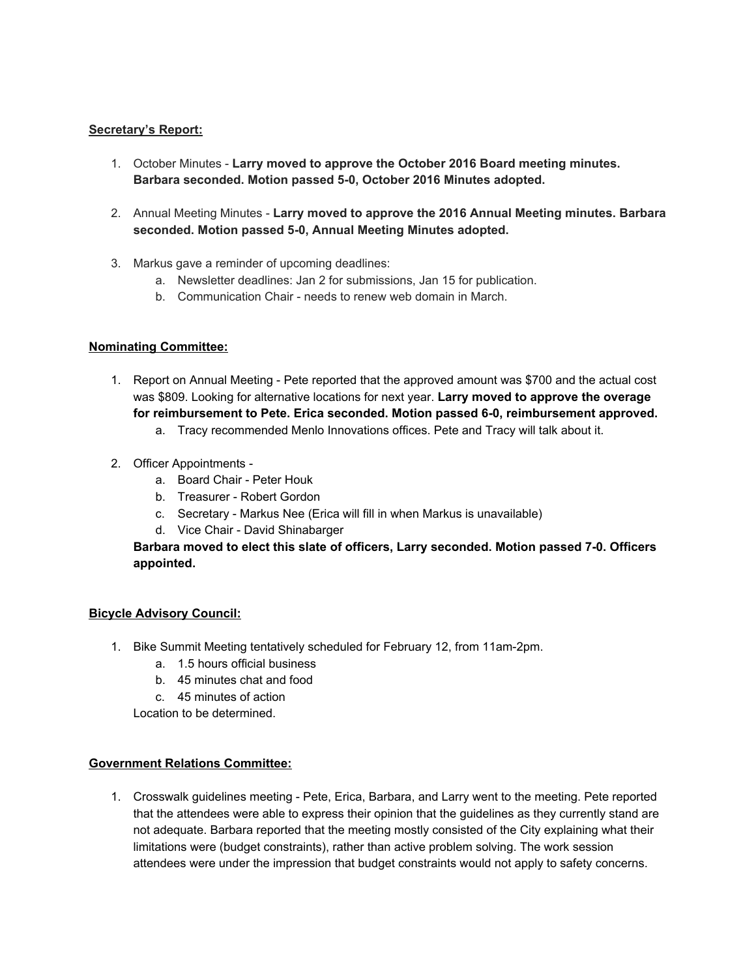## **Secretary's Report:**

- 1. October Minutes **Larry moved to approve the October 2016 Board meeting minutes. Barbara seconded. Motion passed 5-0, October 2016 Minutes adopted.**
- 2. Annual Meeting Minutes **Larry moved to approve the 2016 Annual Meeting minutes. Barbara seconded. Motion passed 5-0, Annual Meeting Minutes adopted.**
- 3. Markus gave a reminder of upcoming deadlines:
	- a. Newsletter deadlines: Jan 2 for submissions, Jan 15 for publication.
	- b. Communication Chair needs to renew web domain in March.

### **Nominating Committee:**

- 1. Report on Annual Meeting Pete reported that the approved amount was \$700 and the actual cost was \$809. Looking for alternative locations for next year. **Larry moved to approve the overage for reimbursement to Pete. Erica seconded. Motion passed 6-0, reimbursement approved.**
	- a. Tracy recommended Menlo Innovations offices. Pete and Tracy will talk about it.
- 2. Officer Appointments
	- a. Board Chair Peter Houk
	- b. Treasurer Robert Gordon
	- c. Secretary Markus Nee (Erica will fill in when Markus is unavailable)
	- d. Vice Chair David Shinabarger

## **Barbara moved to elect this slate of officers, Larry seconded. Motion passed 7-0. Officers appointed.**

#### **Bicycle Advisory Council:**

- 1. Bike Summit Meeting tentatively scheduled for February 12, from 11am-2pm.
	- a. 1.5 hours official business
	- b. 45 minutes chat and food
	- c. 45 minutes of action

Location to be determined.

#### **Government Relations Committee:**

1. Crosswalk guidelines meeting - Pete, Erica, Barbara, and Larry went to the meeting. Pete reported that the attendees were able to express their opinion that the guidelines as they currently stand are not adequate. Barbara reported that the meeting mostly consisted of the City explaining what their limitations were (budget constraints), rather than active problem solving. The work session attendees were under the impression that budget constraints would not apply to safety concerns.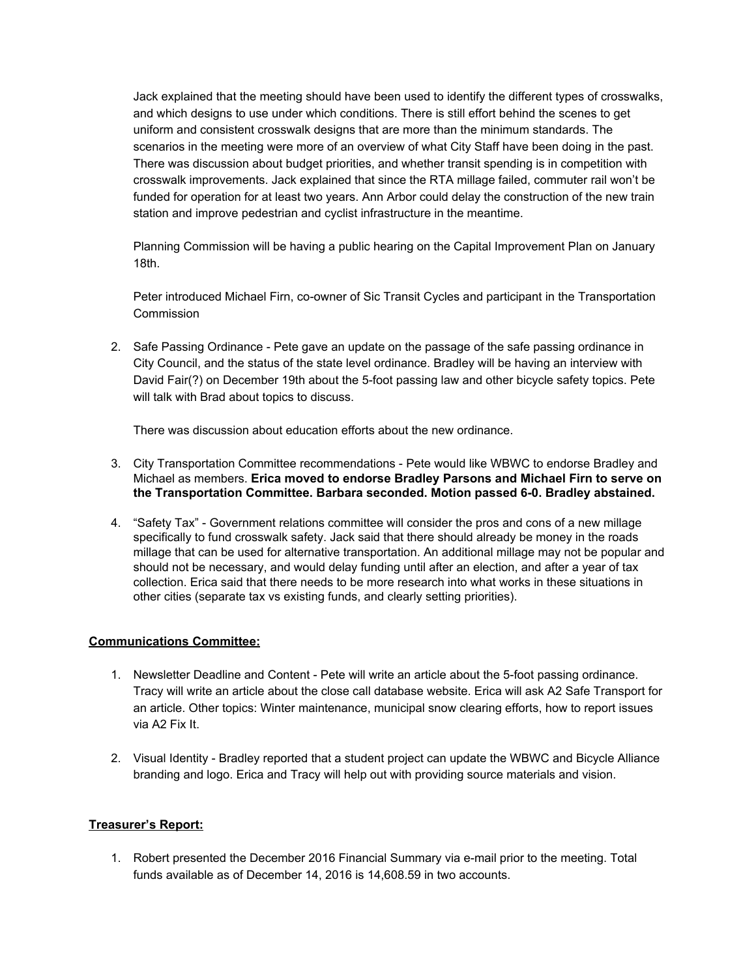Jack explained that the meeting should have been used to identify the different types of crosswalks, and which designs to use under which conditions. There is still effort behind the scenes to get uniform and consistent crosswalk designs that are more than the minimum standards. The scenarios in the meeting were more of an overview of what City Staff have been doing in the past. There was discussion about budget priorities, and whether transit spending is in competition with crosswalk improvements. Jack explained that since the RTA millage failed, commuter rail won't be funded for operation for at least two years. Ann Arbor could delay the construction of the new train station and improve pedestrian and cyclist infrastructure in the meantime.

Planning Commission will be having a public hearing on the Capital Improvement Plan on January 18th.

Peter introduced Michael Firn, co-owner of Sic Transit Cycles and participant in the Transportation **Commission** 

2. Safe Passing Ordinance - Pete gave an update on the passage of the safe passing ordinance in City Council, and the status of the state level ordinance. Bradley will be having an interview with David Fair(?) on December 19th about the 5-foot passing law and other bicycle safety topics. Pete will talk with Brad about topics to discuss.

There was discussion about education efforts about the new ordinance.

- 3. City Transportation Committee recommendations Pete would like WBWC to endorse Bradley and Michael as members. **Erica moved to endorse Bradley Parsons and Michael Firn to serve on the Transportation Committee. Barbara seconded. Motion passed 6-0. Bradley abstained.**
- 4. "Safety Tax" Government relations committee will consider the pros and cons of a new millage specifically to fund crosswalk safety. Jack said that there should already be money in the roads millage that can be used for alternative transportation. An additional millage may not be popular and should not be necessary, and would delay funding until after an election, and after a year of tax collection. Erica said that there needs to be more research into what works in these situations in other cities (separate tax vs existing funds, and clearly setting priorities).

## **Communications Committee:**

- 1. Newsletter Deadline and Content Pete will write an article about the 5-foot passing ordinance. Tracy will write an article about the close call database website. Erica will ask A2 Safe Transport for an article. Other topics: Winter maintenance, municipal snow clearing efforts, how to report issues via A2 Fix It.
- 2. Visual Identity Bradley reported that a student project can update the WBWC and Bicycle Alliance branding and logo. Erica and Tracy will help out with providing source materials and vision.

## **Treasurer's Report:**

1. Robert presented the December 2016 Financial Summary via e-mail prior to the meeting. Total funds available as of December 14, 2016 is 14,608.59 in two accounts.